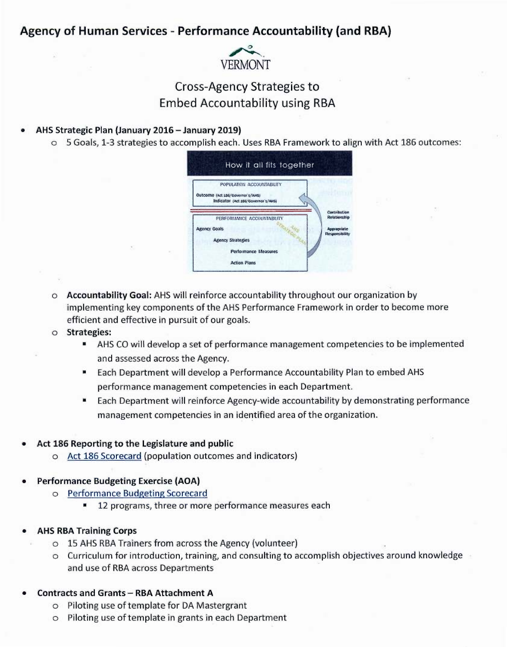# Agency of Human Services - Performance Accountability (and RBA)



# **Cross-Agency Strategies to Embed Accountability using RBA**

#### AHS Strategic Plan (January 2016 - January 2019)

o 5 Goals, 1-3 strategies to accomplish each. Uses RBA Framework to align with Act 186 outcomes:



- o Accountability Goal: AHS will reinforce accountability throughout our organization by implementing key components of the AHS Performance Framework in order to become more efficient and effective in pursuit of our goals.
- o Strategies:
	- AHS CO will develop a set of performance management competencies to be implemented m, and assessed across the Agency.
	- Each Department will develop a Performance Accountability Plan to embed AHS performance management competencies in each Department.
	- Each Department will reinforce Agency-wide accountability by demonstrating performance ш management competencies in an identified area of the organization.

## Act 186 Reporting to the Legislature and public

o Act 186 Scorecard (population outcomes and indicators)

## **Performance Budgeting Exercise (AOA)**

- o Performance Budgeting Scorecard
	- 12 programs, three or more performance measures each

## **AHS RBA Training Corps**

- o 15 AHS RBA Trainers from across the Agency (volunteer)
- o Curriculum for introduction, training, and consulting to accomplish objectives around knowledge and use of RBA across Departments

## **Contracts and Grants - RBA Attachment A**

- o Piloting use of template for DA Mastergrant
- o Piloting use of template in grants in each Department